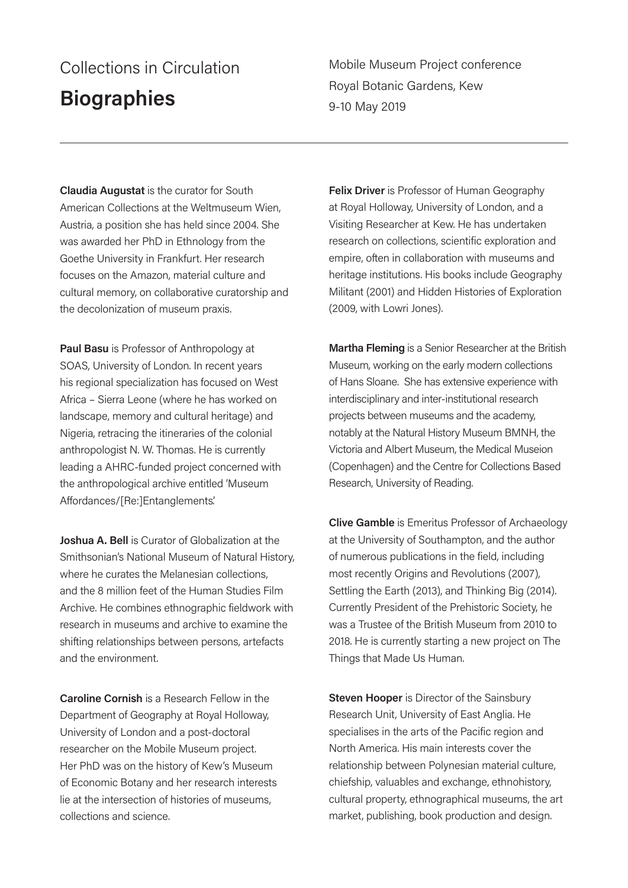## Collections in Circulation **Biographies**

Mobile Museum Project conference Royal Botanic Gardens, Kew 9-10 May 2019

**Claudia Augustat** is the curator for South American Collections at the Weltmuseum Wien, Austria, a position she has held since 2004. She was awarded her PhD in Ethnology from the Goethe University in Frankfurt. Her research focuses on the Amazon, material culture and cultural memory, on collaborative curatorship and the decolonization of museum praxis.

**Paul Basu** is Professor of Anthropology at SOAS, University of London. In recent years his regional specialization has focused on West Africa – Sierra Leone (where he has worked on landscape, memory and cultural heritage) and Nigeria, retracing the itineraries of the colonial anthropologist N. W. Thomas. He is currently leading a AHRC-funded project concerned with the anthropological archive entitled 'Museum Affordances/[Re:]Entanglements'.

**Joshua A. Bell** is Curator of Globalization at the Smithsonian's National Museum of Natural History, where he curates the Melanesian collections, and the 8 million feet of the Human Studies Film Archive. He combines ethnographic fieldwork with research in museums and archive to examine the shifting relationships between persons, artefacts and the environment.

**Caroline Cornish** is a Research Fellow in the Department of Geography at Royal Holloway, University of London and a post-doctoral researcher on the Mobile Museum project. Her PhD was on the history of Kew's Museum of Economic Botany and her research interests lie at the intersection of histories of museums, collections and science.

**Felix Driver** is Professor of Human Geography at Royal Holloway, University of London, and a Visiting Researcher at Kew. He has undertaken research on collections, scientific exploration and empire, often in collaboration with museums and heritage institutions. His books include Geography Militant (2001) and Hidden Histories of Exploration (2009, with Lowri Jones).

**Martha Fleming** is a Senior Researcher at the British Museum, working on the early modern collections of Hans Sloane. She has extensive experience with interdisciplinary and inter-institutional research projects between museums and the academy, notably at the Natural History Museum BMNH, the Victoria and Albert Museum, the Medical Museion (Copenhagen) and the Centre for Collections Based Research, University of Reading.

**Clive Gamble** is Emeritus Professor of Archaeology at the University of Southampton, and the author of numerous publications in the field, including most recently Origins and Revolutions (2007), Settling the Earth (2013), and Thinking Big (2014). Currently President of the Prehistoric Society, he was a Trustee of the British Museum from 2010 to 2018. He is currently starting a new project on The Things that Made Us Human.

**Steven Hooper** is Director of the Sainsbury Research Unit, University of East Anglia. He specialises in the arts of the Pacific region and North America. His main interests cover the relationship between Polynesian material culture, chiefship, valuables and exchange, ethnohistory, cultural property, ethnographical museums, the art market, publishing, book production and design.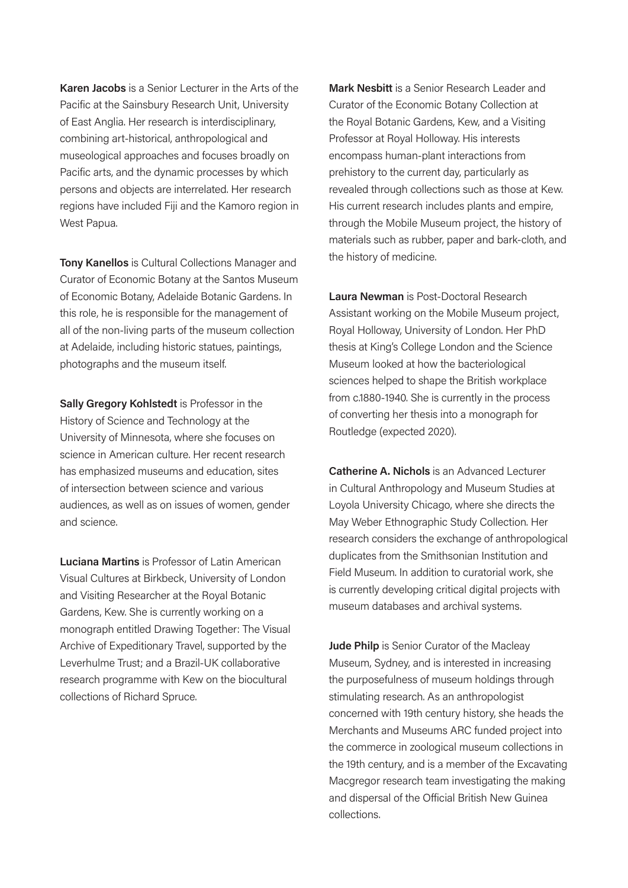**Karen Jacobs** is a Senior Lecturer in the Arts of the Pacific at the Sainsbury Research Unit, University of East Anglia. Her research is interdisciplinary, combining art-historical, anthropological and museological approaches and focuses broadly on Pacific arts, and the dynamic processes by which persons and objects are interrelated. Her research regions have included Fiji and the Kamoro region in West Papua.

**Tony Kanellos** is Cultural Collections Manager and Curator of Economic Botany at the Santos Museum of Economic Botany, Adelaide Botanic Gardens. In this role, he is responsible for the management of all of the non-living parts of the museum collection at Adelaide, including historic statues, paintings, photographs and the museum itself.

**Sally Gregory Kohlstedt** is Professor in the History of Science and Technology at the University of Minnesota, where she focuses on science in American culture. Her recent research has emphasized museums and education, sites of intersection between science and various audiences, as well as on issues of women, gender and science.

**Luciana Martins** is Professor of Latin American Visual Cultures at Birkbeck, University of London and Visiting Researcher at the Royal Botanic Gardens, Kew. She is currently working on a monograph entitled Drawing Together: The Visual Archive of Expeditionary Travel, supported by the Leverhulme Trust; and a Brazil-UK collaborative research programme with Kew on the biocultural collections of Richard Spruce.

**Mark Nesbitt** is a Senior Research Leader and Curator of the Economic Botany Collection at the Royal Botanic Gardens, Kew, and a Visiting Professor at Royal Holloway. His interests encompass human-plant interactions from prehistory to the current day, particularly as revealed through collections such as those at Kew. His current research includes plants and empire, through the Mobile Museum project, the history of materials such as rubber, paper and bark-cloth, and the history of medicine.

**Laura Newman** is Post-Doctoral Research Assistant working on the Mobile Museum project, Royal Holloway, University of London. Her PhD thesis at King's College London and the Science Museum looked at how the bacteriological sciences helped to shape the British workplace from c.1880-1940. She is currently in the process of converting her thesis into a monograph for Routledge (expected 2020).

**Catherine A. Nichols** is an Advanced Lecturer in Cultural Anthropology and Museum Studies at Loyola University Chicago, where she directs the May Weber Ethnographic Study Collection. Her research considers the exchange of anthropological duplicates from the Smithsonian Institution and Field Museum. In addition to curatorial work, she is currently developing critical digital projects with museum databases and archival systems.

**Jude Philp** is Senior Curator of the Macleay Museum, Sydney, and is interested in increasing the purposefulness of museum holdings through stimulating research. As an anthropologist concerned with 19th century history, she heads the Merchants and Museums ARC funded project into the commerce in zoological museum collections in the 19th century, and is a member of the Excavating Macgregor research team investigating the making and dispersal of the Official British New Guinea collections.